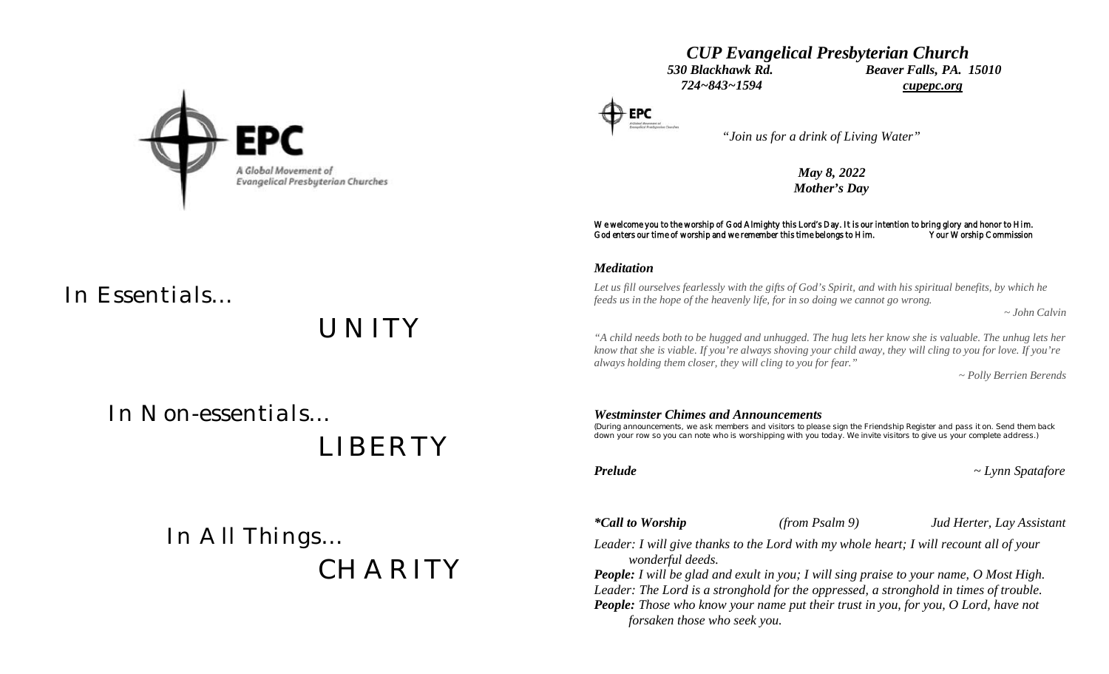

# *CUP Evangelical Presbyterian Church 530 Blackhawk Rd. Beaver Falls, PA. 15010 724~843~1594 cupepc.org*

 *"Join us for a drink of Living Water"*

*May 8, 2022 Mother's Day*

### We welcome you to the worship of God Almighty this Lord's Day. It is our intention to bring glory and honor to Him.<br>God enters our time of worship and we remember this time belongs to Him. Your Worship Commission God enters our time of worship and we remember this time belongs to Him.

### *Meditation*

*Let us fill ourselves fearlessly with the gifts of God's Spirit, and with his spiritual benefits, by which he feeds us in the hope of the heavenly life, for in so doing we cannot go wrong.*

 *~ John Calvin*

*"A child needs both to be hugged and unhugged. The hug lets her know she is valuable. The unhug lets her know that she is viable. If you're always shoving your child away, they will cling to you for love. If you're always holding them closer, they will cling to you for fear."*

 *~ Polly Berrien Berends*

 *In Non-essentials…*

 *LIBERTY*

*UNITY*

 *In All Things… CHARITY*

### *Westminster Chimes and Announcements*

*(During announcements, we ask members and visitors to please sign the Friendship Register and pass it on. Send them back down your row so you can note who is worshipping with you today. We invite visitors to give us your complete address.)*

*Prelude ~ Lynn Spatafore*

*\*Call to Worship (from Psalm 9) Jud Herter, Lay Assistant*

*Leader: I will give thanks to the Lord with my whole heart; I will recount all of your wonderful deeds.*

*People: I will be glad and exult in you; I will sing praise to your name, O Most High. Leader: The Lord is a stronghold for the oppressed, a stronghold in times of trouble. People: Those who know your name put their trust in you, for you, O Lord, have not forsaken those who seek you.*

*In Essentials…*